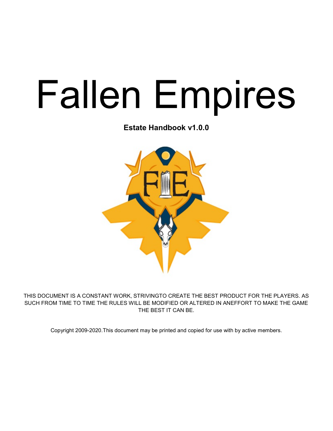# Fallen Empires

Estate Handbook v1.0.0



THIS DOCUMENT IS A CONSTANT WORK, STRIVINGTO CREATE THE BEST PRODUCT FOR THE PLAYERS. AS SUCH FROM TIME TO TIME THE RULES WILL BE MODIFIED OR ALTERED IN ANEFFORT TO MAKE THE GAME THE BEST IT CAN BE.

Copyright 2009-2020.This document may be printed and copied for use with by active members.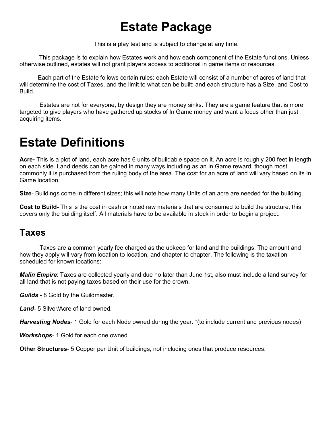## Estate Package

This is a play test and is subject to change at any time.

This package is to explain how Estates work and how each component of the Estate functions. Unless otherwise outlined, estates will not grant players access to additional in game items or resources.

 Each part of the Estate follows certain rules: each Estate will consist of a number of acres of land that will determine the cost of Taxes, and the limit to what can be built; and each structure has a Size, and Cost to Build.

 Estates are not for everyone, by design they are money sinks. They are a game feature that is more targeted to give players who have gathered up stocks of In Game money and want a focus other than just acquiring items.

## Estate Definitions

Acre- This is a plot of land, each acre has 6 units of buildable space on it. An acre is roughly 200 feet in length on each side. Land deeds can be gained in many ways including as an In Game reward, though most commonly it is purchased from the ruling body of the area. The cost for an acre of land will vary based on its In Game location.

Size- Buildings come in different sizes; this will note how many Units of an acre are needed for the building.

Cost to Build- This is the cost in cash or noted raw materials that are consumed to build the structure, this covers only the building itself. All materials have to be available in stock in order to begin a project.

#### Taxes

 Taxes are a common yearly fee charged as the upkeep for land and the buildings. The amount and how they apply will vary from location to location, and chapter to chapter. The following is the taxation scheduled for known locations:

Malin Empire: Taxes are collected yearly and due no later than June 1st, also must include a land survey for all land that is not paying taxes based on their use for the crown.

**Guilds** - 8 Gold by the Guildmaster.

Land- 5 Silver/Acre of land owned.

**Harvesting Nodes-** 1 Gold for each Node owned during the year. \* (to include current and previous nodes)

Workshops- 1 Gold for each one owned.

**Other Structures-** 5 Copper per Unit of buildings, not including ones that produce resources.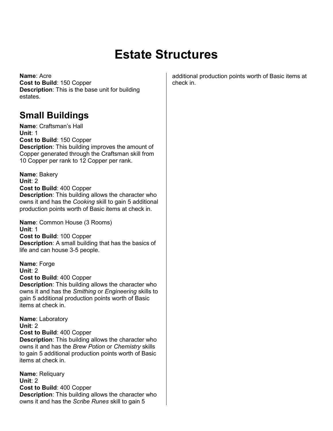## Estate Structures

Name: Acre Cost to Build: 150 Copper Description: This is the base unit for building estates.

#### Small Buildings

Name: Craftsman's Hall Unit: 1

Cost to Build: 150 Copper

Description: This building improves the amount of Copper generated through the Craftsman skill from 10 Copper per rank to 12 Copper per rank.

Name: Bakery Unit: 2 Cost to Build: 400 Copper Description: This building allows the character who owns it and has the Cooking skill to gain 5 additional production points worth of Basic items at check in.

Name: Common House (3 Rooms) Unit: 1 Cost to Build: 100 Copper

Description: A small building that has the basics of life and can house 3-5 people.

Name: Forge Unit: 2 Cost to Build: 400 Copper

Description: This building allows the character who owns it and has the Smithing or Engineering skills to gain 5 additional production points worth of Basic items at check in.

Name: Laboratory Unit: 2 Cost to Build: 400 Copper

Description: This building allows the character who owns it and has the Brew Potion or Chemistry skills to gain 5 additional production points worth of Basic items at check in.

Name: Reliquary Unit: 2 Cost to Build: 400 Copper Description: This building allows the character who owns it and has the Scribe Runes skill to gain 5

additional production points worth of Basic items at check in.